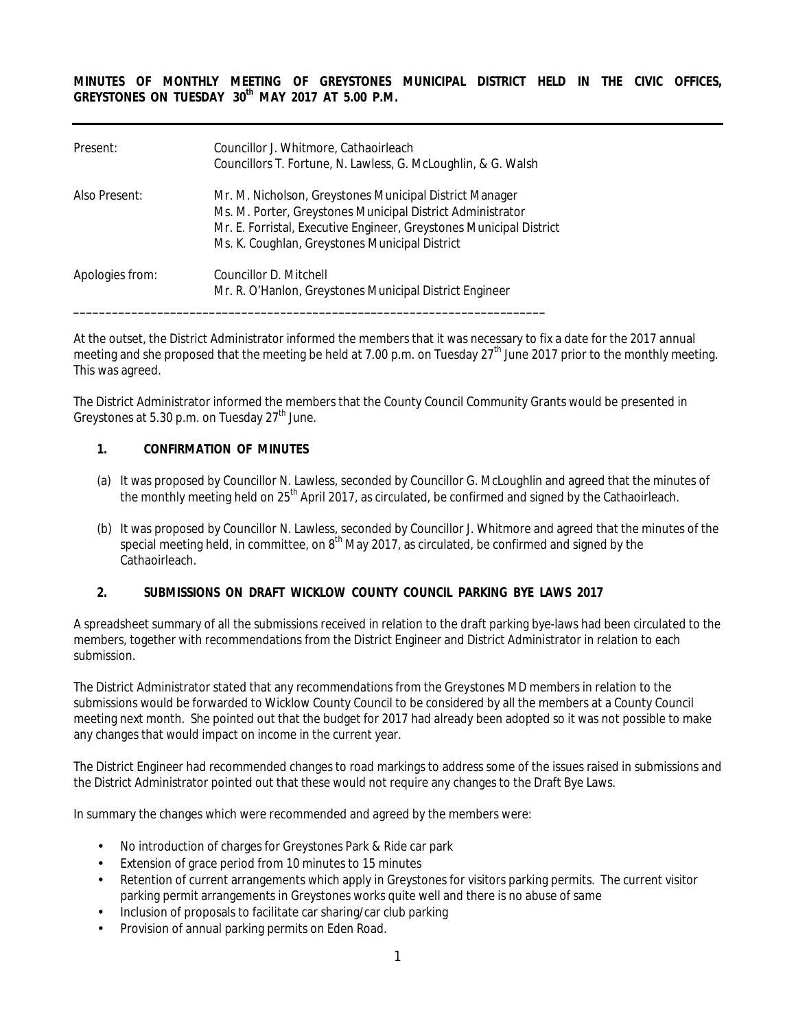**MINUTES OF MONTHLY MEETING OF GREYSTONES MUNICIPAL DISTRICT HELD IN THE CIVIC OFFICES, GREYSTONES ON TUESDAY 30th MAY 2017 AT 5.00 P.M.** 

| Present:        | Councillor J. Whitmore, Cathaoirleach<br>Councillors T. Fortune, N. Lawless, G. McLoughlin, & G. Walsh                                                                                                                                         |
|-----------------|------------------------------------------------------------------------------------------------------------------------------------------------------------------------------------------------------------------------------------------------|
| Also Present:   | Mr. M. Nicholson, Greystones Municipal District Manager<br>Ms. M. Porter, Greystones Municipal District Administrator<br>Mr. E. Forristal, Executive Engineer, Greystones Municipal District<br>Ms. K. Coughlan, Greystones Municipal District |
| Apologies from: | Councillor D. Mitchell<br>Mr. R. O'Hanlon, Greystones Municipal District Engineer                                                                                                                                                              |

At the outset, the District Administrator informed the members that it was necessary to fix a date for the 2017 annual meeting and she proposed that the meeting be held at 7.00 p.m. on Tuesday  $27^{\text{th}}$  June 2017 prior to the monthly meeting. This was agreed.

The District Administrator informed the members that the County Council Community Grants would be presented in Greystones at 5.30 p.m. on Tuesday  $27<sup>th</sup>$  June.

#### **1. CONFIRMATION OF MINUTES**

- (a) It was proposed by Councillor N. Lawless, seconded by Councillor G. McLoughlin and agreed that the minutes of the monthly meeting held on 25<sup>th</sup> April 2017, as circulated, be confirmed and signed by the Cathaoirleach.
- (b) It was proposed by Councillor N. Lawless, seconded by Councillor J. Whitmore and agreed that the minutes of the special meeting held, in committee, on 8<sup>th</sup> May 2017, as circulated, be confirmed and signed by the Cathaoirleach.

#### **2. SUBMISSIONS ON DRAFT WICKLOW COUNTY COUNCIL PARKING BYE LAWS 2017**

A spreadsheet summary of all the submissions received in relation to the draft parking bye-laws had been circulated to the members, together with recommendations from the District Engineer and District Administrator in relation to each submission.

The District Administrator stated that any recommendations from the Greystones MD members in relation to the submissions would be forwarded to Wicklow County Council to be considered by all the members at a County Council meeting next month. She pointed out that the budget for 2017 had already been adopted so it was not possible to make any changes that would impact on income in the current year.

The District Engineer had recommended changes to road markings to address some of the issues raised in submissions and the District Administrator pointed out that these would not require any changes to the Draft Bye Laws.

In summary the changes which were recommended and agreed by the members were:

- No introduction of charges for Greystones Park & Ride car park
- Extension of grace period from 10 minutes to 15 minutes
- Retention of current arrangements which apply in Greystones for visitors parking permits. The current visitor parking permit arrangements in Greystones works quite well and there is no abuse of same
- Inclusion of proposals to facilitate car sharing/car club parking
- Provision of annual parking permits on Eden Road.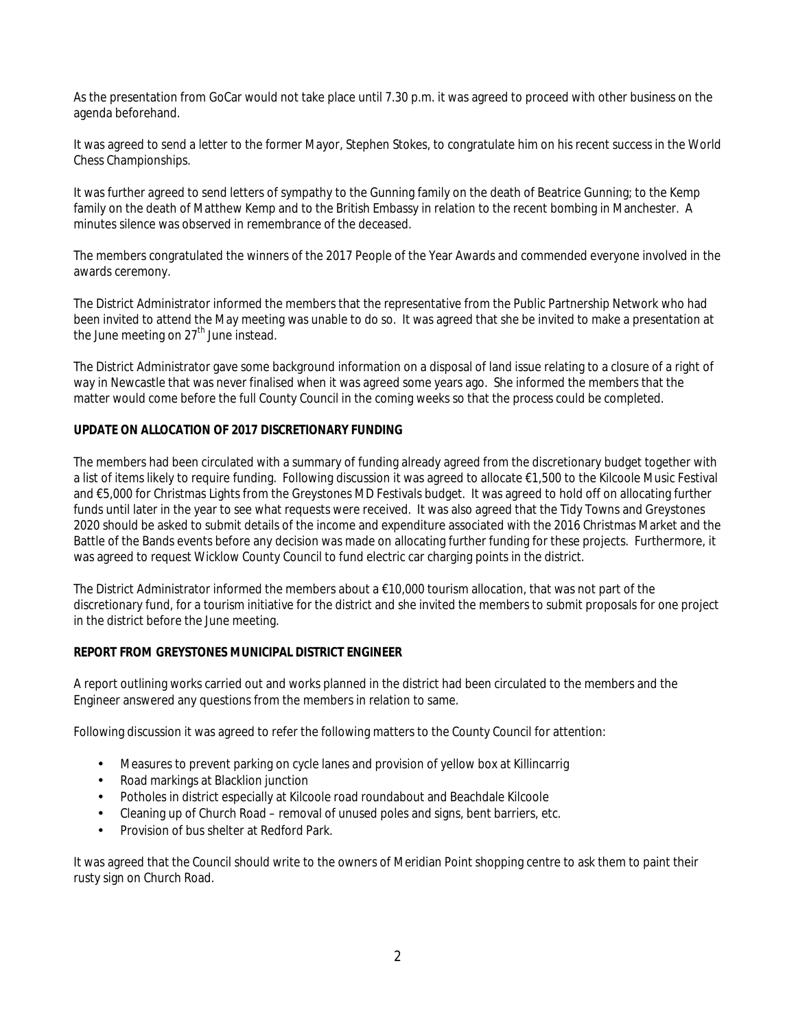As the presentation from GoCar would not take place until 7.30 p.m. it was agreed to proceed with other business on the agenda beforehand.

It was agreed to send a letter to the former Mayor, Stephen Stokes, to congratulate him on his recent success in the World Chess Championships.

It was further agreed to send letters of sympathy to the Gunning family on the death of Beatrice Gunning; to the Kemp family on the death of Matthew Kemp and to the British Embassy in relation to the recent bombing in Manchester. A minutes silence was observed in remembrance of the deceased.

The members congratulated the winners of the 2017 People of the Year Awards and commended everyone involved in the awards ceremony.

The District Administrator informed the members that the representative from the Public Partnership Network who had been invited to attend the May meeting was unable to do so. It was agreed that she be invited to make a presentation at the June meeting on 27<sup>th</sup> June instead.

The District Administrator gave some background information on a disposal of land issue relating to a closure of a right of way in Newcastle that was never finalised when it was agreed some years ago. She informed the members that the matter would come before the full County Council in the coming weeks so that the process could be completed.

#### **UPDATE ON ALLOCATION OF 2017 DISCRETIONARY FUNDING**

The members had been circulated with a summary of funding already agreed from the discretionary budget together with a list of items likely to require funding. Following discussion it was agreed to allocate €1,500 to the Kilcoole Music Festival and €5,000 for Christmas Lights from the Greystones MD Festivals budget. It was agreed to hold off on allocating further funds until later in the year to see what requests were received. It was also agreed that the Tidy Towns and Greystones 2020 should be asked to submit details of the income and expenditure associated with the 2016 Christmas Market and the Battle of the Bands events before any decision was made on allocating further funding for these projects. Furthermore, it was agreed to request Wicklow County Council to fund electric car charging points in the district.

The District Administrator informed the members about a  $\epsilon$ 10,000 tourism allocation, that was not part of the discretionary fund, for a tourism initiative for the district and she invited the members to submit proposals for one project in the district before the June meeting.

#### **REPORT FROM GREYSTONES MUNICIPAL DISTRICT ENGINEER**

A report outlining works carried out and works planned in the district had been circulated to the members and the Engineer answered any questions from the members in relation to same.

Following discussion it was agreed to refer the following matters to the County Council for attention:

- Measures to prevent parking on cycle lanes and provision of yellow box at Killincarrig
- Road markings at Blacklion junction
- Potholes in district especially at Kilcoole road roundabout and Beachdale Kilcoole
- Cleaning up of Church Road removal of unused poles and signs, bent barriers, etc.
- Provision of bus shelter at Redford Park.

It was agreed that the Council should write to the owners of Meridian Point shopping centre to ask them to paint their rusty sign on Church Road.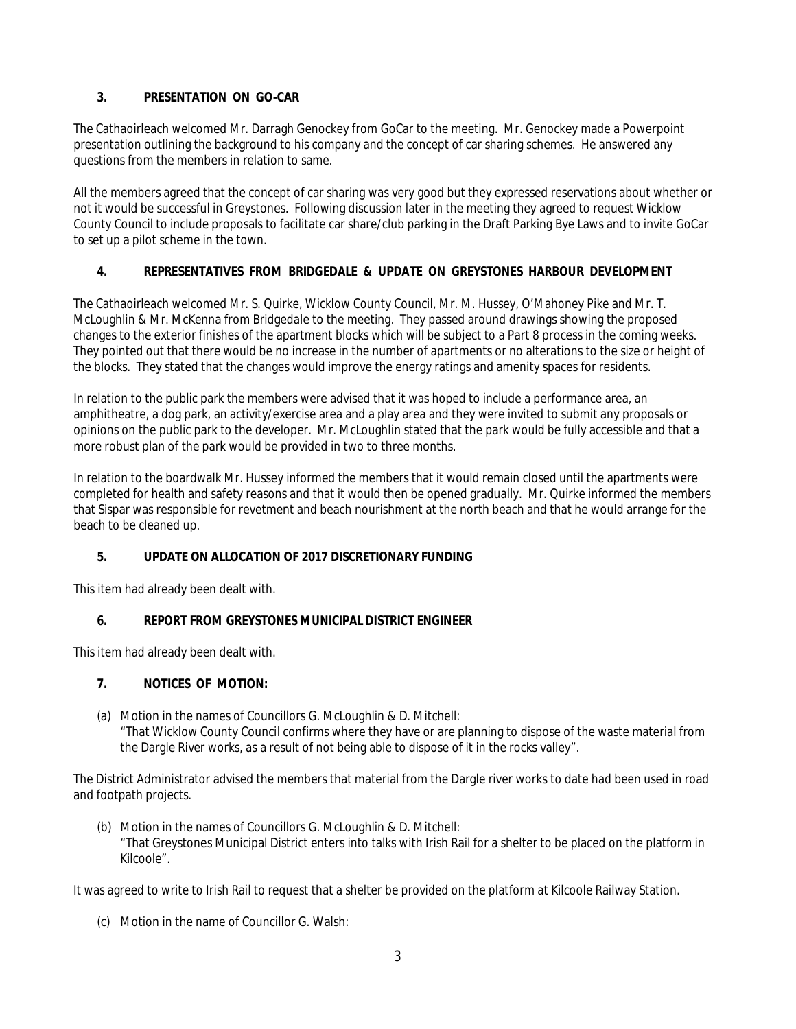# **3. PRESENTATION ON GO-CAR**

The Cathaoirleach welcomed Mr. Darragh Genockey from GoCar to the meeting. Mr. Genockey made a Powerpoint presentation outlining the background to his company and the concept of car sharing schemes. He answered any questions from the members in relation to same.

All the members agreed that the concept of car sharing was very good but they expressed reservations about whether or not it would be successful in Greystones. Following discussion later in the meeting they agreed to request Wicklow County Council to include proposals to facilitate car share/club parking in the Draft Parking Bye Laws and to invite GoCar to set up a pilot scheme in the town.

# **4. REPRESENTATIVES FROM BRIDGEDALE & UPDATE ON GREYSTONES HARBOUR DEVELOPMENT**

The Cathaoirleach welcomed Mr. S. Quirke, Wicklow County Council, Mr. M. Hussey, O'Mahoney Pike and Mr. T. McLoughlin & Mr. McKenna from Bridgedale to the meeting. They passed around drawings showing the proposed changes to the exterior finishes of the apartment blocks which will be subject to a Part 8 process in the coming weeks. They pointed out that there would be no increase in the number of apartments or no alterations to the size or height of the blocks. They stated that the changes would improve the energy ratings and amenity spaces for residents.

In relation to the public park the members were advised that it was hoped to include a performance area, an amphitheatre, a dog park, an activity/exercise area and a play area and they were invited to submit any proposals or opinions on the public park to the developer. Mr. McLoughlin stated that the park would be fully accessible and that a more robust plan of the park would be provided in two to three months.

In relation to the boardwalk Mr. Hussey informed the members that it would remain closed until the apartments were completed for health and safety reasons and that it would then be opened gradually. Mr. Quirke informed the members that Sispar was responsible for revetment and beach nourishment at the north beach and that he would arrange for the beach to be cleaned up.

# **5. UPDATE ON ALLOCATION OF 2017 DISCRETIONARY FUNDING**

This item had already been dealt with.

# **6. REPORT FROM GREYSTONES MUNICIPAL DISTRICT ENGINEER**

This item had already been dealt with.

# **7. NOTICES OF MOTION:**

(a) Motion in the names of Councillors G. McLoughlin & D. Mitchell: "That Wicklow County Council confirms where they have or are planning to dispose of the waste material from the Dargle River works, as a result of not being able to dispose of it in the rocks valley".

The District Administrator advised the members that material from the Dargle river works to date had been used in road and footpath projects.

(b) Motion in the names of Councillors G. McLoughlin & D. Mitchell: "That Greystones Municipal District enters into talks with Irish Rail for a shelter to be placed on the platform in Kilcoole".

It was agreed to write to Irish Rail to request that a shelter be provided on the platform at Kilcoole Railway Station.

(c) Motion in the name of Councillor G. Walsh: